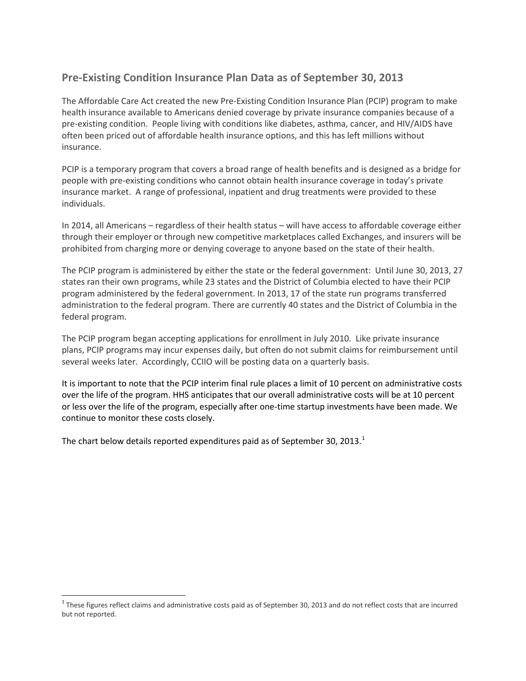## **Pre-Existing Condition Insurance Plan Data as of September 30, 2013**

The Affordable Care Act created the new Pre-Existing Condition Insurance Plan (PCIP) program to make health insurance available to Americans denied coverage by private insurance companies because of a pre-existing condition. People living with conditions like diabetes, asthma, cancer, and HIV/AIDS have often been priced out of affordable health insurance options, and this has left millions without insurance.

PCIP is a temporary program that covers a broad range of health benefits and is designed as a bridge for people with pre-existing conditions who cannot obtain health insurance coverage in today's private insurance market. A range of professional, inpatient and drug treatments were provided to these individuals.

In 2014, all Americans – regardless of their health status – will have access to affordable coverage either through their employer or through new competitive marketplaces called Exchanges, and insurers will be prohibited from charging more or denying coverage to anyone based on the state of their health.

The PCIP program is administered by either the state or the federal government: Until June 30, 2013, 27 states ran their own programs, while 23 states and the District of Columbia elected to have their PCIP program administered by the federal government. In 2013, 17 of the state run programs transferred administration to the federal program. There are currently 40 states and the District of Columbia in the federal program.

The PCIP program began accepting applications for enrollment in July 2010. Like private insurance plans, PCIP programs may incur expenses daily, but often do not submit claims for reimbursement until several weeks later. Accordingly, CCIIO will be posting data on a quarterly basis.

It is important to note that the PCIP interim final rule places a limit of 10 percent on administrative costs over the life of the program. HHS anticipates that our overall administrative costs will be at 10 percent or less over the life of the program, especially after one-time startup investments have been made. We continue to monitor these costs closely.

The chart below details reported expenditures paid as of September 30, 20[1](#page-0-0)3.<sup>1</sup>

<span id="page-0-0"></span><sup>&</sup>lt;sup>1</sup> These figures reflect claims and administrative costs paid as of September 30, 2013 and do not reflect costs that are incurred but not reported.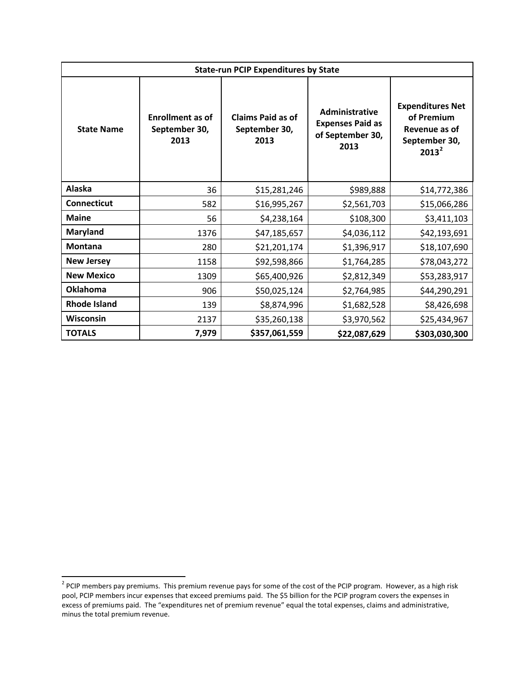| <b>State-run PCIP Expenditures by State</b> |                                                  |                                                   |                                                                              |                                                                                     |
|---------------------------------------------|--------------------------------------------------|---------------------------------------------------|------------------------------------------------------------------------------|-------------------------------------------------------------------------------------|
| <b>State Name</b>                           | <b>Enrollment as of</b><br>September 30,<br>2013 | <b>Claims Paid as of</b><br>September 30,<br>2013 | <b>Administrative</b><br><b>Expenses Paid as</b><br>of September 30,<br>2013 | <b>Expenditures Net</b><br>of Premium<br>Revenue as of<br>September 30,<br>$2013^2$ |
| <b>Alaska</b>                               | 36                                               | \$15,281,246                                      | \$989,888                                                                    | \$14,772,386                                                                        |
| Connecticut                                 | 582                                              | \$16,995,267                                      | \$2,561,703                                                                  | \$15,066,286                                                                        |
| <b>Maine</b>                                | 56                                               | \$4,238,164                                       | \$108,300                                                                    | \$3,411,103                                                                         |
| <b>Maryland</b>                             | 1376                                             | \$47,185,657                                      | \$4,036,112                                                                  | \$42,193,691                                                                        |
| <b>Montana</b>                              | 280                                              | \$21,201,174                                      | \$1,396,917                                                                  | \$18,107,690                                                                        |
| <b>New Jersey</b>                           | 1158                                             | \$92,598,866                                      | \$1,764,285                                                                  | \$78,043,272                                                                        |
| <b>New Mexico</b>                           | 1309                                             | \$65,400,926                                      | \$2,812,349                                                                  | \$53,283,917                                                                        |
| <b>Oklahoma</b>                             | 906                                              | \$50,025,124                                      | \$2,764,985                                                                  | \$44,290,291                                                                        |
| <b>Rhode Island</b>                         | 139                                              | \$8,874,996                                       | \$1,682,528                                                                  | \$8,426,698                                                                         |
| <b>Wisconsin</b>                            | 2137                                             | \$35,260,138                                      | \$3,970,562                                                                  | \$25,434,967                                                                        |
| <b>TOTALS</b>                               | 7,979                                            | \$357,061,559                                     | \$22,087,629                                                                 | \$303,030,300                                                                       |

 $\overline{\phantom{a}}$ 

<span id="page-1-0"></span> $^2$  PCIP members pay premiums. This premium revenue pays for some of the cost of the PCIP program. However, as a high risk pool, PCIP members incur expenses that exceed premiums paid. The \$5 billion for the PCIP program covers the expenses in excess of premiums paid. The "expenditures net of premium revenue" equal the total expenses, claims and administrative, minus the total premium revenue.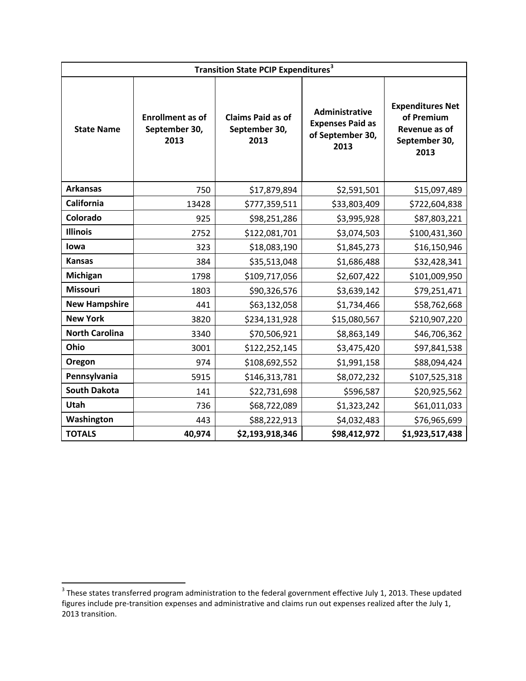| <b>Transition State PCIP Expenditures<sup>3</sup></b> |                                                  |                                                   |                                                                              |                                                                                 |
|-------------------------------------------------------|--------------------------------------------------|---------------------------------------------------|------------------------------------------------------------------------------|---------------------------------------------------------------------------------|
| <b>State Name</b>                                     | <b>Enrollment as of</b><br>September 30,<br>2013 | <b>Claims Paid as of</b><br>September 30,<br>2013 | <b>Administrative</b><br><b>Expenses Paid as</b><br>of September 30,<br>2013 | <b>Expenditures Net</b><br>of Premium<br>Revenue as of<br>September 30,<br>2013 |
| <b>Arkansas</b>                                       | 750                                              | \$17,879,894                                      | \$2,591,501                                                                  | \$15,097,489                                                                    |
| <b>California</b>                                     | 13428                                            | \$777,359,511                                     | \$33,803,409                                                                 | \$722,604,838                                                                   |
| Colorado                                              | 925                                              | \$98,251,286                                      | \$3,995,928                                                                  | \$87,803,221                                                                    |
| <b>Illinois</b>                                       | 2752                                             | \$122,081,701                                     | \$3,074,503                                                                  | \$100,431,360                                                                   |
| lowa                                                  | 323                                              | \$18,083,190                                      | \$1,845,273                                                                  | \$16,150,946                                                                    |
| <b>Kansas</b>                                         | 384                                              | \$35,513,048                                      | \$1,686,488                                                                  | \$32,428,341                                                                    |
| Michigan                                              | 1798                                             | \$109,717,056                                     | \$2,607,422                                                                  | \$101,009,950                                                                   |
| <b>Missouri</b>                                       | 1803                                             | \$90,326,576                                      | \$3,639,142                                                                  | \$79,251,471                                                                    |
| <b>New Hampshire</b>                                  | 441                                              | \$63,132,058                                      | \$1,734,466                                                                  | \$58,762,668                                                                    |
| <b>New York</b>                                       | 3820                                             | \$234,131,928                                     | \$15,080,567                                                                 | \$210,907,220                                                                   |
| <b>North Carolina</b>                                 | 3340                                             | \$70,506,921                                      | \$8,863,149                                                                  | \$46,706,362                                                                    |
| Ohio                                                  | 3001                                             | \$122,252,145                                     | \$3,475,420                                                                  | \$97,841,538                                                                    |
| Oregon                                                | 974                                              | \$108,692,552                                     | \$1,991,158                                                                  | \$88,094,424                                                                    |
| Pennsylvania                                          | 5915                                             | \$146,313,781                                     | \$8,072,232                                                                  | \$107,525,318                                                                   |
| <b>South Dakota</b>                                   | 141                                              | \$22,731,698                                      | \$596,587                                                                    | \$20,925,562                                                                    |
| Utah                                                  | 736                                              | \$68,722,089                                      | \$1,323,242                                                                  | \$61,011,033                                                                    |
| Washington                                            | 443                                              | \$88,222,913                                      | \$4,032,483                                                                  | \$76,965,699                                                                    |
| <b>TOTALS</b>                                         | 40,974                                           | \$2,193,918,346                                   | \$98,412,972                                                                 | \$1,923,517,438                                                                 |

<span id="page-2-0"></span> $3$  These states transferred program administration to the federal government effective July 1, 2013. These updated figures include pre-transition expenses and administrative and claims run out expenses realized after the July 1, 2013 transition.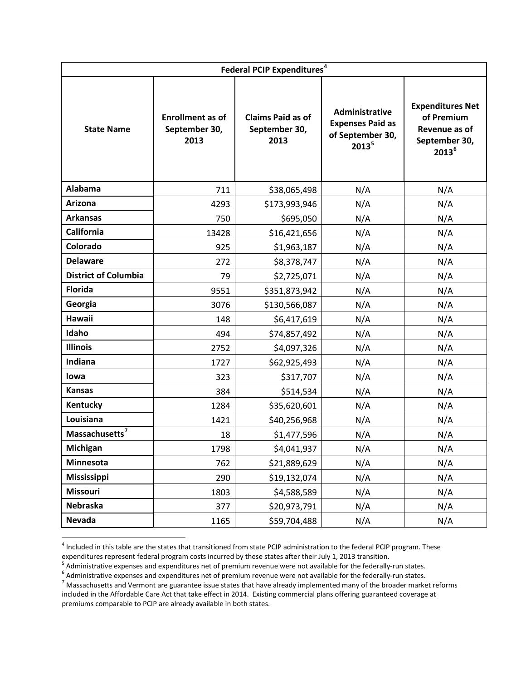| <b>Federal PCIP Expenditures<sup>4</sup></b> |                                                  |                                                   |                                                                                  |                                                                                     |  |
|----------------------------------------------|--------------------------------------------------|---------------------------------------------------|----------------------------------------------------------------------------------|-------------------------------------------------------------------------------------|--|
| <b>State Name</b>                            | <b>Enrollment as of</b><br>September 30,<br>2013 | <b>Claims Paid as of</b><br>September 30,<br>2013 | <b>Administrative</b><br><b>Expenses Paid as</b><br>of September 30,<br>$2013^5$ | <b>Expenditures Net</b><br>of Premium<br>Revenue as of<br>September 30,<br>$2013^6$ |  |
| Alabama                                      | 711                                              | \$38,065,498                                      | N/A                                                                              | N/A                                                                                 |  |
| Arizona                                      | 4293                                             | \$173,993,946                                     | N/A                                                                              | N/A                                                                                 |  |
| <b>Arkansas</b>                              | 750                                              | \$695,050                                         | N/A                                                                              | N/A                                                                                 |  |
| <b>California</b>                            | 13428                                            | \$16,421,656                                      | N/A                                                                              | N/A                                                                                 |  |
| Colorado                                     | 925                                              | \$1,963,187                                       | N/A                                                                              | N/A                                                                                 |  |
| <b>Delaware</b>                              | 272                                              | \$8,378,747                                       | N/A                                                                              | N/A                                                                                 |  |
| <b>District of Columbia</b>                  | 79                                               | \$2,725,071                                       | N/A                                                                              | N/A                                                                                 |  |
| <b>Florida</b>                               | 9551                                             | \$351,873,942                                     | N/A                                                                              | N/A                                                                                 |  |
| Georgia                                      | 3076                                             | \$130,566,087                                     | N/A                                                                              | N/A                                                                                 |  |
| <b>Hawaii</b>                                | 148                                              | \$6,417,619                                       | N/A                                                                              | N/A                                                                                 |  |
| Idaho                                        | 494                                              | \$74,857,492                                      | N/A                                                                              | N/A                                                                                 |  |
| <b>Illinois</b>                              | 2752                                             | \$4,097,326                                       | N/A                                                                              | N/A                                                                                 |  |
| Indiana                                      | 1727                                             | \$62,925,493                                      | N/A                                                                              | N/A                                                                                 |  |
| lowa                                         | 323                                              | \$317,707                                         | N/A                                                                              | N/A                                                                                 |  |
| <b>Kansas</b>                                | 384                                              | \$514,534                                         | N/A                                                                              | N/A                                                                                 |  |
| Kentucky                                     | 1284                                             | \$35,620,601                                      | N/A                                                                              | N/A                                                                                 |  |
| Louisiana                                    | 1421                                             | \$40,256,968                                      | N/A                                                                              | N/A                                                                                 |  |
| Massachusetts <sup>7</sup>                   | 18                                               | \$1,477,596                                       | N/A                                                                              | N/A                                                                                 |  |
| Michigan                                     | 1798                                             | \$4,041,937                                       | N/A                                                                              | N/A                                                                                 |  |
| Minnesota                                    | 762                                              | \$21,889,629                                      | N/A                                                                              | N/A                                                                                 |  |
| Mississippi                                  | 290                                              | \$19,132,074                                      | N/A                                                                              | N/A                                                                                 |  |
| Missouri                                     | 1803                                             | \$4,588,589                                       | N/A                                                                              | N/A                                                                                 |  |
| <b>Nebraska</b>                              | 377                                              | \$20,973,791                                      | N/A                                                                              | N/A                                                                                 |  |
| <b>Nevada</b>                                | 1165                                             | \$59,704,488                                      | N/A                                                                              | N/A                                                                                 |  |

<span id="page-3-0"></span> $^4$  Included in this table are the states that transitioned from state PCIP administration to the federal PCIP program. These

<span id="page-3-3"></span><span id="page-3-2"></span>

<span id="page-3-1"></span>expenditures represent federal program costs incurred by these states after their July 1, 2013 transition.<br>
<sup>5</sup> Administrative expenses and expenditures net of premium revenue were not available for the federally-run stat included in the Affordable Care Act that take effect in 2014. Existing commercial plans offering guaranteed coverage at premiums comparable to PCIP are already available in both states.